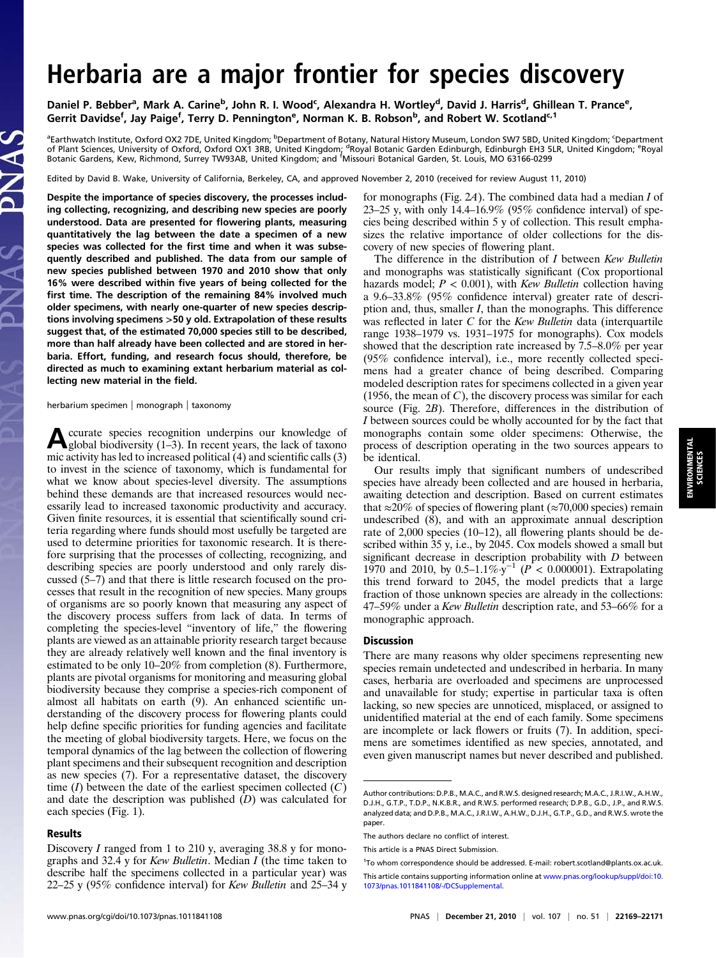## Herbaria are a major frontier for species discovery

Daniel P. Bebber<sup>a</sup>, Mark A. Carine<sup>b</sup>, John R. I. Wood<sup>c</sup>, Alexandra H. Wortley<sup>d</sup>, David J. Harris<sup>d</sup>, Ghillean T. Prance<sup>e</sup>, Gerrit Davidse<sup>f</sup>, Jay Paige<sup>f</sup>, Terry D. Pennington<sup>e</sup>, Norman K. B. Robson<sup>b</sup>, and Robert W. Scotland<sup>c, 1</sup>

<sup>a</sup>Earthwatch Institute, Oxford OX2 7DE, United Kingdom; <sup>b</sup>Department of Botany, Natural History Museum, London SW7 5BD, United Kingdom; <sup>c</sup>Department of Plant Sciences, University of Oxford, Oxford OX1 3RB, United Kingdom; <sup>d</sup>Royal Botanic Garden Edinburgh, Edinburgh EH3 5LR, United Kingdom; <sup>e</sup>Royal Botanic Gardens, Kew, Richmond, Surrey TW93AB, United Kingdom; and <sup>f</sup> Missouri Botanical Garden, St. Louis, MO 63166-0299

Edited by David B. Wake, University of California, Berkeley, CA, and approved November 2, 2010 (received for review August 11, 2010)

Despite the importance of species discovery, the processes including collecting, recognizing, and describing new species are poorly understood. Data are presented for flowering plants, measuring quantitatively the lag between the date a specimen of a new species was collected for the first time and when it was subsequently described and published. The data from our sample of new species published between 1970 and 2010 show that only 16% were described within five years of being collected for the first time. The description of the remaining 84% involved much older specimens, with nearly one-quarter of new species descriptions involving specimens >50 y old. Extrapolation of these results suggest that, of the estimated 70,000 species still to be described, more than half already have been collected and are stored in herbaria. Effort, funding, and research focus should, therefore, be directed as much to examining extant herbarium material as collecting new material in the field.

herbarium specimen | monograph | taxonomy

Accurate species recognition underpins our knowledge of global biodiversity (1–3). In recent years, the lack of taxono mic activity has led to increased political (4) and scientific calls (3) to invest in the science of taxonomy, which is fundamental for what we know about species-level diversity. The assumptions behind these demands are that increased resources would necessarily lead to increased taxonomic productivity and accuracy. Given finite resources, it is essential that scientifically sound criteria regarding where funds should most usefully be targeted are used to determine priorities for taxonomic research. It is therefore surprising that the processes of collecting, recognizing, and describing species are poorly understood and only rarely discussed (5–7) and that there is little research focused on the processes that result in the recognition of new species. Many groups of organisms are so poorly known that measuring any aspect of the discovery process suffers from lack of data. In terms of completing the species-level "inventory of life," the flowering plants are viewed as an attainable priority research target because they are already relatively well known and the final inventory is estimated to be only 10–20% from completion (8). Furthermore, plants are pivotal organisms for monitoring and measuring global biodiversity because they comprise a species-rich component of almost all habitats on earth (9). An enhanced scientific understanding of the discovery process for flowering plants could help define specific priorities for funding agencies and facilitate the meeting of global biodiversity targets. Here, we focus on the temporal dynamics of the lag between the collection of flowering plant specimens and their subsequent recognition and description as new species (7). For a representative dataset, the discovery time  $(I)$  between the date of the earliest specimen collected  $(C)$ and date the description was published  $(D)$  was calculated for each species (Fig. 1).

## Results

Discovery *I* ranged from 1 to 210 y, averaging 38.8 y for monographs and 32.4 y for *Kew Bulletin*. Median  $I$  (the time taken to describe half the specimens collected in a particular year) was 22–25 y (95% confidence interval) for Kew Bulletin and 25–34 y for monographs (Fig. 2A). The combined data had a median I of 23–25 y, with only 14.4–16.9% (95% confidence interval) of species being described within 5 y of collection. This result emphasizes the relative importance of older collections for the discovery of new species of flowering plant.

The difference in the distribution of I between Kew Bulletin and monographs was statistically significant (Cox proportional hazards model;  $P < 0.001$ ), with *Kew Bulletin* collection having a 9.6–33.8% (95% confidence interval) greater rate of description and, thus, smaller I, than the monographs. This difference was reflected in later C for the Kew Bulletin data (interquartile range 1938–1979 vs. 1931–1975 for monographs). Cox models showed that the description rate increased by 7.5–8.0% per year (95% confidence interval), i.e., more recently collected specimens had a greater chance of being described. Comparing modeled description rates for specimens collected in a given year (1956, the mean of  $C$ ), the discovery process was similar for each source (Fig. 2B). Therefore, differences in the distribution of I between sources could be wholly accounted for by the fact that monographs contain some older specimens: Otherwise, the process of description operating in the two sources appears to be identical.

Our results imply that significant numbers of undescribed species have already been collected and are housed in herbaria, awaiting detection and description. Based on current estimates that  $\approx$ 20% of species of flowering plant ( $\approx$ 70,000 species) remain undescribed (8), and with an approximate annual description rate of 2,000 species (10–12), all flowering plants should be described within 35 y, i.e., by 2045. Cox models showed a small but significant decrease in description probability with D between 1970 and 2010, by 0.5–1.1%  $y^{-1}$  ( $P < 0.000001$ ). Extrapolating this trend forward to 2045, the model predicts that a large fraction of those unknown species are already in the collections: 47–59% under a Kew Bulletin description rate, and 53–66% for a monographic approach.

## **Discussion**

There are many reasons why older specimens representing new species remain undetected and undescribed in herbaria. In many cases, herbaria are overloaded and specimens are unprocessed and unavailable for study; expertise in particular taxa is often lacking, so new species are unnoticed, misplaced, or assigned to unidentified material at the end of each family. Some specimens are incomplete or lack flowers or fruits (7). In addition, specimens are sometimes identified as new species, annotated, and even given manuscript names but never described and published.

Author contributions: D.P.B., M.A.C., and R.W.S. designed research; M.A.C., J.R.I.W., A.H.W., D.J.H., G.T.P., T.D.P., N.K.B.R., and R.W.S. performed research; D.P.B., G.D., J.P., and R.W.S. analyzed data; and D.P.B., M.A.C., J.R.I.W., A.H.W., D.J.H., G.T.P., G.D., and R.W.S. wrote the paper

The authors declare no conflict of interest.

This article is a PNAS Direct Submission.

<sup>&</sup>lt;sup>1</sup>To whom correspondence should be addressed. E-mail: [robert.scotland@plants.ox.ac.uk](mailto:robert.scotland@plants.ox.ac.uk).

This article contains supporting information online at [www.pnas.org/lookup/suppl/doi:10.](http://www.pnas.org/lookup/suppl/doi:10.1073/pnas.1011841108/-/DCSupplemental) [1073/pnas.1011841108/-/DCSupplemental](http://www.pnas.org/lookup/suppl/doi:10.1073/pnas.1011841108/-/DCSupplemental).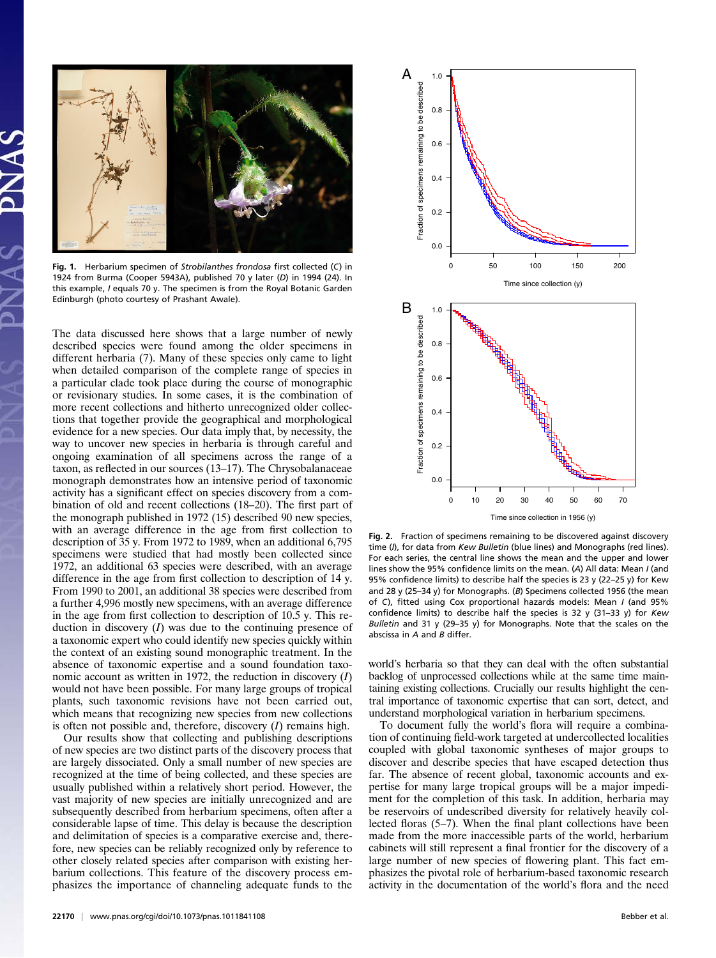

Fig. 1. Herbarium specimen of Strobilanthes frondosa first collected (C) in 1924 from Burma (Cooper 5943A), published 70 y later (D) in 1994 (24). In this example, I equals 70 y. The specimen is from the Royal Botanic Garden Edinburgh (photo courtesy of Prashant Awale).

The data discussed here shows that a large number of newly described species were found among the older specimens in different herbaria (7). Many of these species only came to light when detailed comparison of the complete range of species in a particular clade took place during the course of monographic or revisionary studies. In some cases, it is the combination of more recent collections and hitherto unrecognized older collections that together provide the geographical and morphological evidence for a new species. Our data imply that, by necessity, the way to uncover new species in herbaria is through careful and ongoing examination of all specimens across the range of a taxon, as reflected in our sources (13–17). The Chrysobalanaceae monograph demonstrates how an intensive period of taxonomic activity has a significant effect on species discovery from a combination of old and recent collections (18–20). The first part of the monograph published in 1972 (15) described 90 new species, with an average difference in the age from first collection to description of 35 y. From 1972 to 1989, when an additional 6,795 specimens were studied that had mostly been collected since 1972, an additional 63 species were described, with an average difference in the age from first collection to description of 14 y. From 1990 to 2001, an additional 38 species were described from a further 4,996 mostly new specimens, with an average difference in the age from first collection to description of 10.5 y. This reduction in discovery  $(I)$  was due to the continuing presence of a taxonomic expert who could identify new species quickly within the context of an existing sound monographic treatment. In the absence of taxonomic expertise and a sound foundation taxonomic account as written in 1972, the reduction in discovery  $(I)$ would not have been possible. For many large groups of tropical plants, such taxonomic revisions have not been carried out, which means that recognizing new species from new collections is often not possible and, therefore, discovery  $(I)$  remains high.

Our results show that collecting and publishing descriptions of new species are two distinct parts of the discovery process that are largely dissociated. Only a small number of new species are recognized at the time of being collected, and these species are usually published within a relatively short period. However, the vast majority of new species are initially unrecognized and are subsequently described from herbarium specimens, often after a considerable lapse of time. This delay is because the description and delimitation of species is a comparative exercise and, therefore, new species can be reliably recognized only by reference to other closely related species after comparison with existing herbarium collections. This feature of the discovery process emphasizes the importance of channeling adequate funds to the



Fig. 2. Fraction of specimens remaining to be discovered against discovery time (*I*), for data from Kew Bulletin (blue lines) and Monographs (red lines). For each series, the central line shows the mean and the upper and lower lines show the 95% confidence limits on the mean. (A) All data: Mean I (and 95% confidence limits) to describe half the species is 23 y (22–25 y) for Kew and 28 y (25–34 y) for Monographs. (B) Specimens collected 1956 (the mean of C), fitted using Cox proportional hazards models: Mean I (and 95% confidence limits) to describe half the species is 32 y (31–33 y) for Kew Bulletin and 31 y (29–35 y) for Monographs. Note that the scales on the abscissa in  $A$  and  $B$  differ.

world's herbaria so that they can deal with the often substantial backlog of unprocessed collections while at the same time maintaining existing collections. Crucially our results highlight the central importance of taxonomic expertise that can sort, detect, and understand morphological variation in herbarium specimens.

To document fully the world's flora will require a combination of continuing field-work targeted at undercollected localities coupled with global taxonomic syntheses of major groups to discover and describe species that have escaped detection thus far. The absence of recent global, taxonomic accounts and expertise for many large tropical groups will be a major impediment for the completion of this task. In addition, herbaria may be reservoirs of undescribed diversity for relatively heavily collected floras (5–7). When the final plant collections have been made from the more inaccessible parts of the world, herbarium cabinets will still represent a final frontier for the discovery of a large number of new species of flowering plant. This fact emphasizes the pivotal role of herbarium-based taxonomic research activity in the documentation of the world's flora and the need